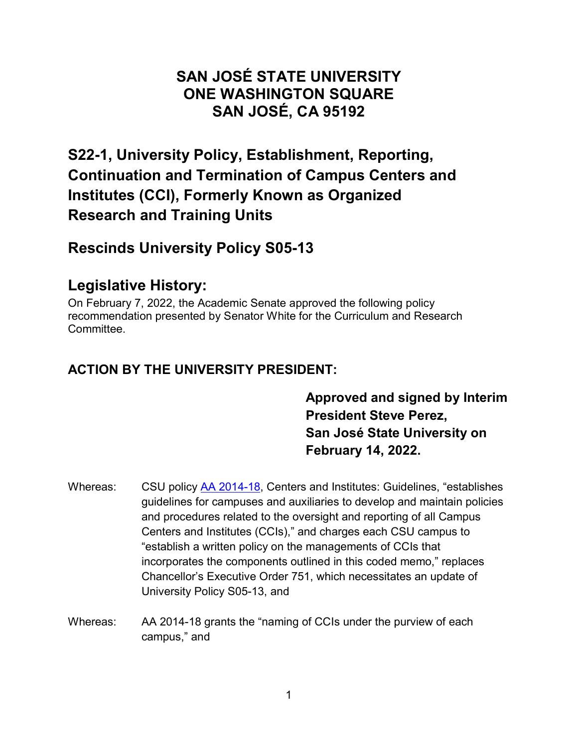#### **SAN JOSÉ STATE UNIVERSITY ONE WASHINGTON SQUARE SAN JOSÉ, CA 95192**

## **S22-1, University Policy, Establishment, Reporting, Continuation and Termination of Campus Centers and Institutes (CCI), Formerly Known as Organized Research and Training Units**

### **Rescinds University Policy S05-13**

## **Legislative History:**

On February 7, 2022, the Academic Senate approved the following policy recommendation presented by Senator White for the Curriculum and Research **Committee** 

#### **ACTION BY THE UNIVERSITY PRESIDENT:**

**Approved and signed by Interim President Steve Perez, San José State University on February 14, 2022.** 

- Whereas: CSU policy AA [2014-18,](https://calstate.policystat.com/policy/6651644/latest/) Centers and Institutes: Guidelines, "establishes guidelines for campuses and auxiliaries to develop and maintain policies and procedures related to the oversight and reporting of all Campus Centers and Institutes (CCIs)," and charges each CSU campus to "establish a written policy on the managements of CCIs that incorporates the components outlined in this coded memo," replaces Chancellor's Executive Order 751, which necessitates an update of University Policy S05-13, and
- Whereas: AA 2014-18 grants the "naming of CCIs under the purview of each campus," and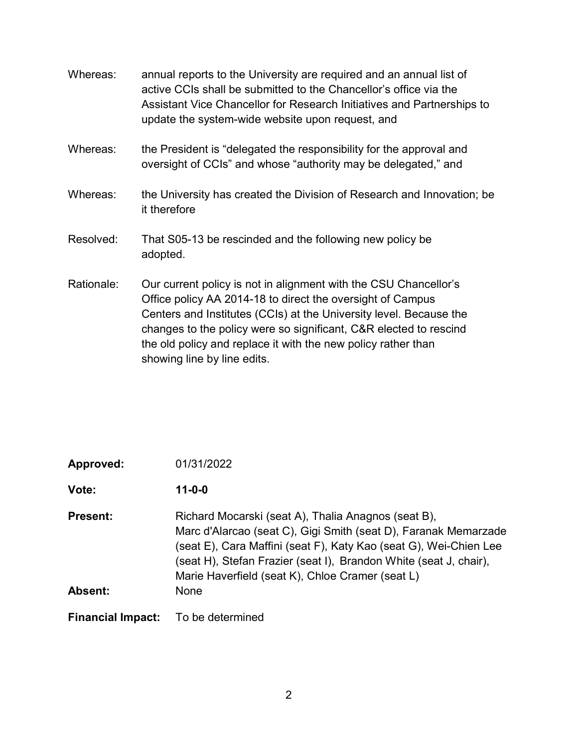| Whereas:   | annual reports to the University are required and an annual list of<br>active CCIs shall be submitted to the Chancellor's office via the<br>Assistant Vice Chancellor for Research Initiatives and Partnerships to<br>update the system-wide website upon request, and                                                                                                    |
|------------|---------------------------------------------------------------------------------------------------------------------------------------------------------------------------------------------------------------------------------------------------------------------------------------------------------------------------------------------------------------------------|
| Whereas:   | the President is "delegated the responsibility for the approval and<br>oversight of CCIs" and whose "authority may be delegated," and                                                                                                                                                                                                                                     |
| Whereas:   | the University has created the Division of Research and Innovation; be<br>it therefore                                                                                                                                                                                                                                                                                    |
| Resolved:  | That S05-13 be rescinded and the following new policy be<br>adopted.                                                                                                                                                                                                                                                                                                      |
| Rationale: | Our current policy is not in alignment with the CSU Chancellor's<br>Office policy AA 2014-18 to direct the oversight of Campus<br>Centers and Institutes (CCIs) at the University level. Because the<br>changes to the policy were so significant, C&R elected to rescind<br>the old policy and replace it with the new policy rather than<br>showing line by line edits. |

| Approved:                  | 01/31/2022                                                                                                                                                                                                                                                                                                                   |
|----------------------------|------------------------------------------------------------------------------------------------------------------------------------------------------------------------------------------------------------------------------------------------------------------------------------------------------------------------------|
| Vote:                      | $11 - 0 - 0$                                                                                                                                                                                                                                                                                                                 |
| <b>Present:</b><br>Absent: | Richard Mocarski (seat A), Thalia Anagnos (seat B),<br>Marc d'Alarcao (seat C), Gigi Smith (seat D), Faranak Memarzade<br>(seat E), Cara Maffini (seat F), Katy Kao (seat G), Wei-Chien Lee<br>(seat H), Stefan Frazier (seat I), Brandon White (seat J, chair),<br>Marie Haverfield (seat K), Chloe Cramer (seat L)<br>None |
|                            |                                                                                                                                                                                                                                                                                                                              |
| <b>Financial Impact:</b>   | To be determined                                                                                                                                                                                                                                                                                                             |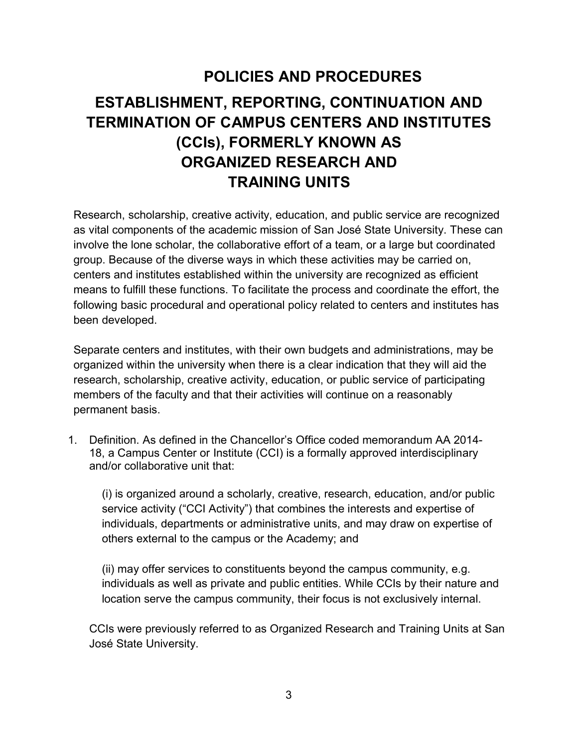# **POLICIES AND PROCEDURES ESTABLISHMENT, REPORTING, CONTINUATION AND TERMINATION OF CAMPUS CENTERS AND INSTITUTES (CCIs), FORMERLY KNOWN AS ORGANIZED RESEARCH AND TRAINING UNITS**

Research, scholarship, creative activity, education, and public service are recognized as vital components of the academic mission of San José State University. These can involve the lone scholar, the collaborative effort of a team, or a large but coordinated group. Because of the diverse ways in which these activities may be carried on, centers and institutes established within the university are recognized as efficient means to fulfill these functions. To facilitate the process and coordinate the effort, the following basic procedural and operational policy related to centers and institutes has been developed.

Separate centers and institutes, with their own budgets and administrations, may be organized within the university when there is a clear indication that they will aid the research, scholarship, creative activity, education, or public service of participating members of the faculty and that their activities will continue on a reasonably permanent basis.

1. Definition. As defined in the Chancellor's Office coded memorandum AA 2014- 18, a Campus Center or Institute (CCI) is a formally approved interdisciplinary and/or collaborative unit that:

(i) is organized around a scholarly, creative, research, education, and/or public service activity ("CCI Activity") that combines the interests and expertise of individuals, departments or administrative units, and may draw on expertise of others external to the campus or the Academy; and

(ii) may offer services to constituents beyond the campus community, e.g. individuals as well as private and public entities. While CCIs by their nature and location serve the campus community, their focus is not exclusively internal.

CCIs were previously referred to as Organized Research and Training Units at San José State University.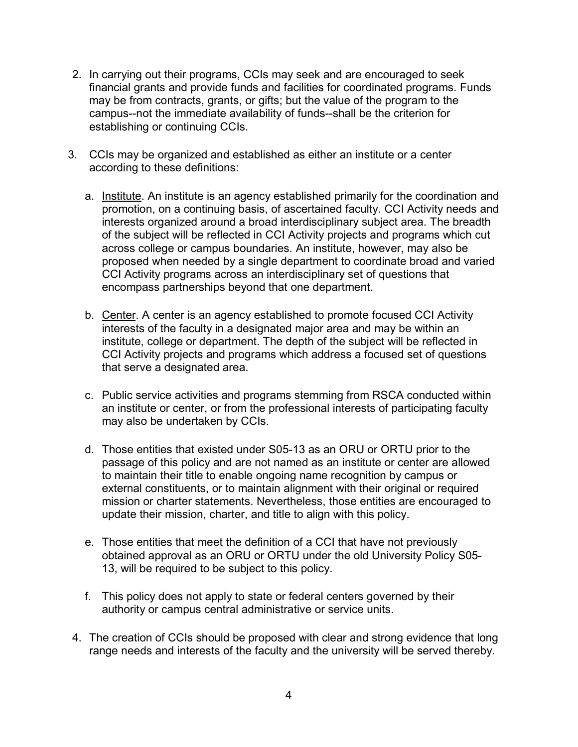- 2. In carrying out their programs, CCIs may seek and are encouraged to seek financial grants and provide funds and facilities for coordinated programs. Funds may be from contracts, grants, or gifts; but the value of the program to the campus--not the immediate availability of funds--shall be the criterion for establishing or continuing CCIs.
- 3. CCIs may be organized and established as either an institute or a center according to these definitions:
	- a. Institute. An institute is an agency established primarily for the coordination and promotion, on a continuing basis, of ascertained faculty. CCI Activity needs and interests organized around a broad interdisciplinary subject area. The breadth of the subject will be reflected in CCI Activity projects and programs which cut across college or campus boundaries. An institute, however, may also be proposed when needed by a single department to coordinate broad and varied CCI Activity programs across an interdisciplinary set of questions that encompass partnerships beyond that one department.
	- b. Center. A center is an agency established to promote focused CCI Activity interests of the faculty in a designated major area and may be within an institute, college or department. The depth of the subject will be reflected in CCI Activity projects and programs which address a focused set of questions that serve a designated area.
	- c. Public service activities and programs stemming from RSCA conducted within an institute or center, or from the professional interests of participating faculty may also be undertaken by CCIs.
	- d. Those entities that existed under S05-13 as an ORU or ORTU prior to the passage of this policy and are not named as an institute or center are allowed to maintain their title to enable ongoing name recognition by campus or external constituents, or to maintain alignment with their original or required mission or charter statements. Nevertheless, those entities are encouraged to update their mission, charter, and title to align with this policy.
	- e. Those entities that meet the definition of a CCI that have not previously obtained approval as an ORU or ORTU under the old University Policy S05- 13, will be required to be subject to this policy.
	- f. This policy does not apply to state or federal centers governed by their authority or campus central administrative or service units.
- 4. The creation of CCIs should be proposed with clear and strong evidence that long range needs and interests of the faculty and the university will be served thereby.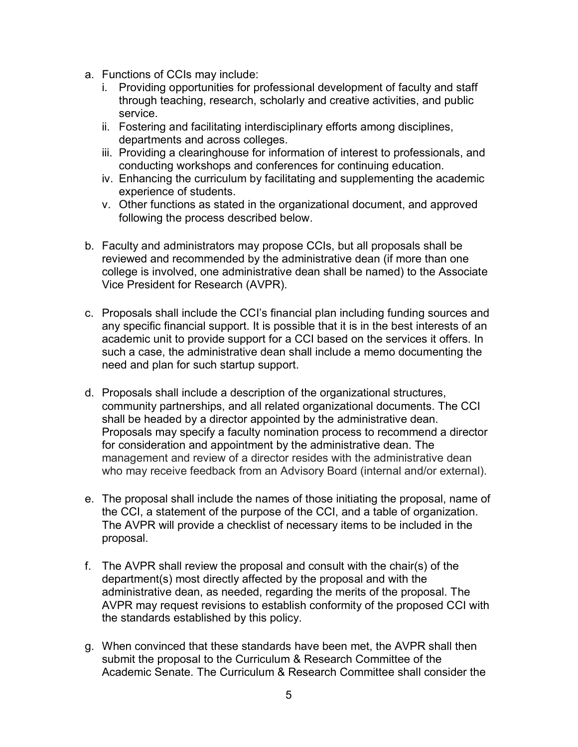- a. Functions of CCIs may include:
	- i. Providing opportunities for professional development of faculty and staff through teaching, research, scholarly and creative activities, and public service.
	- ii. Fostering and facilitating interdisciplinary efforts among disciplines, departments and across colleges.
	- iii. Providing a clearinghouse for information of interest to professionals, and conducting workshops and conferences for continuing education.
	- iv. Enhancing the curriculum by facilitating and supplementing the academic experience of students.
	- v. Other functions as stated in the organizational document, and approved following the process described below.
- b. Faculty and administrators may propose CCIs, but all proposals shall be reviewed and recommended by the administrative dean (if more than one college is involved, one administrative dean shall be named) to the Associate Vice President for Research (AVPR).
- c. Proposals shall include the CCI's financial plan including funding sources and any specific financial support. It is possible that it is in the best interests of an academic unit to provide support for a CCI based on the services it offers. In such a case, the administrative dean shall include a memo documenting the need and plan for such startup support.
- d. Proposals shall include a description of the organizational structures, community partnerships, and all related organizational documents. The CCI shall be headed by a director appointed by the administrative dean. Proposals may specify a faculty nomination process to recommend a director for consideration and appointment by the administrative dean. The management and review of a director resides with the administrative dean who may receive feedback from an Advisory Board (internal and/or external).
- e. The proposal shall include the names of those initiating the proposal, name of the CCI, a statement of the purpose of the CCI, and a table of organization. The AVPR will provide a checklist of necessary items to be included in the proposal.
- f. The AVPR shall review the proposal and consult with the chair(s) of the department(s) most directly affected by the proposal and with the administrative dean, as needed, regarding the merits of the proposal. The AVPR may request revisions to establish conformity of the proposed CCI with the standards established by this policy.
- g. When convinced that these standards have been met, the AVPR shall then submit the proposal to the Curriculum & Research Committee of the Academic Senate. The Curriculum & Research Committee shall consider the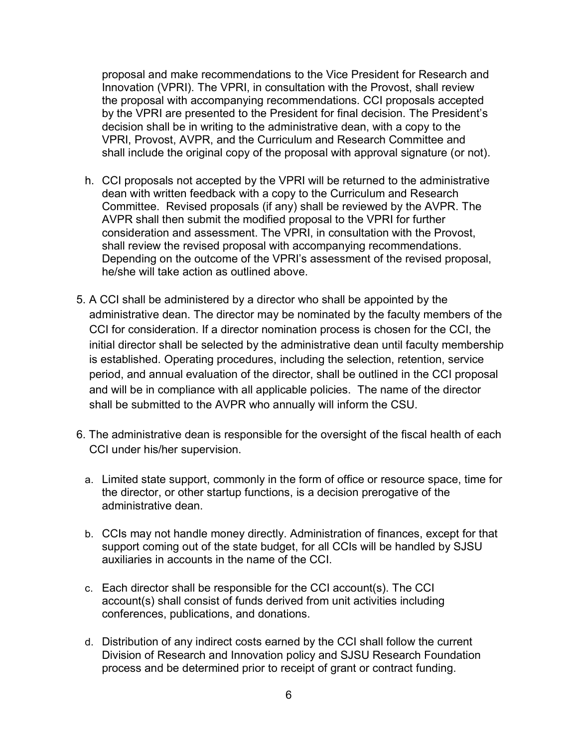proposal and make recommendations to the Vice President for Research and Innovation (VPRI). The VPRI, in consultation with the Provost, shall review the proposal with accompanying recommendations. CCI proposals accepted by the VPRI are presented to the President for final decision. The President's decision shall be in writing to the administrative dean, with a copy to the VPRI, Provost, AVPR, and the Curriculum and Research Committee and shall include the original copy of the proposal with approval signature (or not).

- h. CCI proposals not accepted by the VPRI will be returned to the administrative dean with written feedback with a copy to the Curriculum and Research Committee. Revised proposals (if any) shall be reviewed by the AVPR. The AVPR shall then submit the modified proposal to the VPRI for further consideration and assessment. The VPRI, in consultation with the Provost, shall review the revised proposal with accompanying recommendations. Depending on the outcome of the VPRI's assessment of the revised proposal, he/she will take action as outlined above.
- 5. A CCI shall be administered by a director who shall be appointed by the administrative dean. The director may be nominated by the faculty members of the CCI for consideration. If a director nomination process is chosen for the CCI, the initial director shall be selected by the administrative dean until faculty membership is established. Operating procedures, including the selection, retention, service period, and annual evaluation of the director, shall be outlined in the CCI proposal and will be in compliance with all applicable policies. The name of the director shall be submitted to the AVPR who annually will inform the CSU.
- 6. The administrative dean is responsible for the oversight of the fiscal health of each CCI under his/her supervision.
	- a. Limited state support, commonly in the form of office or resource space, time for the director, or other startup functions, is a decision prerogative of the administrative dean.
	- b. CCIs may not handle money directly. Administration of finances, except for that support coming out of the state budget, for all CCIs will be handled by SJSU auxiliaries in accounts in the name of the CCI.
	- c. Each director shall be responsible for the CCI account(s). The CCI account(s) shall consist of funds derived from unit activities including conferences, publications, and donations.
	- d. Distribution of any indirect costs earned by the CCI shall follow the current Division of Research and Innovation policy and SJSU Research Foundation process and be determined prior to receipt of grant or contract funding.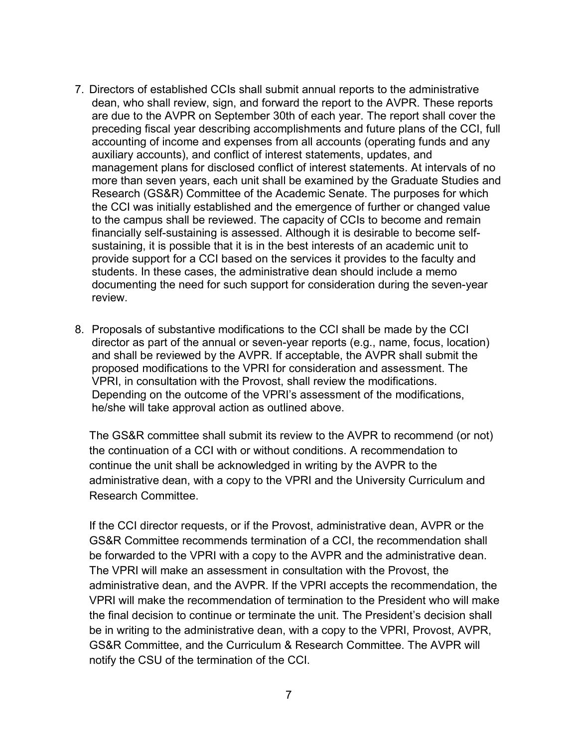- 7. Directors of established CCIs shall submit annual reports to the administrative dean, who shall review, sign, and forward the report to the AVPR. These reports are due to the AVPR on September 30th of each year. The report shall cover the preceding fiscal year describing accomplishments and future plans of the CCI, full accounting of income and expenses from all accounts (operating funds and any auxiliary accounts), and conflict of interest statements, updates, and management plans for disclosed conflict of interest statements. At intervals of no more than seven years, each unit shall be examined by the Graduate Studies and Research (GS&R) Committee of the Academic Senate. The purposes for which the CCI was initially established and the emergence of further or changed value to the campus shall be reviewed. The capacity of CCIs to become and remain financially self-sustaining is assessed. Although it is desirable to become selfsustaining, it is possible that it is in the best interests of an academic unit to provide support for a CCI based on the services it provides to the faculty and students. In these cases, the administrative dean should include a memo documenting the need for such support for consideration during the seven-year review.
- 8. Proposals of substantive modifications to the CCI shall be made by the CCI director as part of the annual or seven-year reports (e.g., name, focus, location) and shall be reviewed by the AVPR. If acceptable, the AVPR shall submit the proposed modifications to the VPRI for consideration and assessment. The VPRI, in consultation with the Provost, shall review the modifications. Depending on the outcome of the VPRI's assessment of the modifications, he/she will take approval action as outlined above.

The GS&R committee shall submit its review to the AVPR to recommend (or not) the continuation of a CCI with or without conditions. A recommendation to continue the unit shall be acknowledged in writing by the AVPR to the administrative dean, with a copy to the VPRI and the University Curriculum and Research Committee.

If the CCI director requests, or if the Provost, administrative dean, AVPR or the GS&R Committee recommends termination of a CCI, the recommendation shall be forwarded to the VPRI with a copy to the AVPR and the administrative dean. The VPRI will make an assessment in consultation with the Provost, the administrative dean, and the AVPR. If the VPRI accepts the recommendation, the VPRI will make the recommendation of termination to the President who will make the final decision to continue or terminate the unit. The President's decision shall be in writing to the administrative dean, with a copy to the VPRI, Provost, AVPR, GS&R Committee, and the Curriculum & Research Committee. The AVPR will notify the CSU of the termination of the CCI.